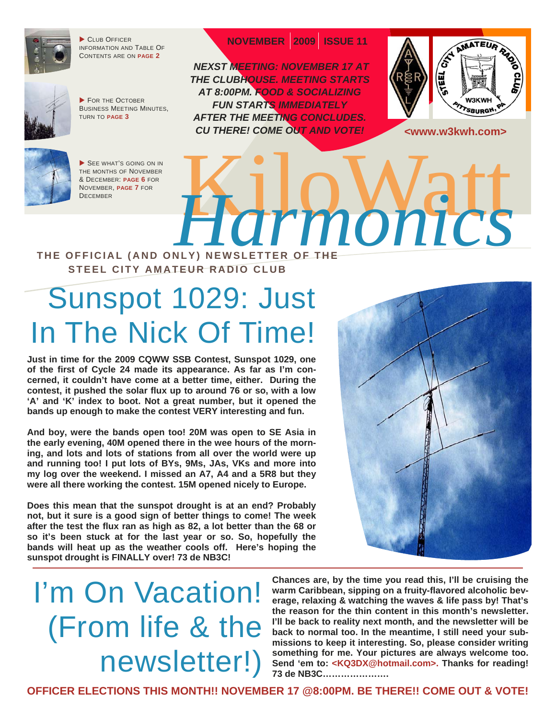

CLUB OFFICER INFORMATION AND TABLE OF CONTENTS ARE ON **[PAGE 2](#page-1-0)**



 FOR THE OCTOBER BUSINESS MEETING MINUTES, TURN TO **[PAGE 3](#page-2-0)**



 *NEXST MEETING: NOVEMBER 17 AT THE CLUBHOUSE. MEETING STARTS AT 8:00PM. FOOD & SOCIALIZING FUN STARTS IMMEDIATELY AFTER THE MEETING CONCLUDES. CU THERE! COME OUT AND VOTE!* 



**<www.w3kwh.com>** 



SEE WHAT'S GOING ON IN THE MONTHS OF NOVEMBER & DECEMBER: **[PAGE 6](#page-5-0)** FOR NOVEMBER, **[PAGE 7](#page-6-0)** FOR



#### **THE OFFICIAL (AND ONLY) NEWSLETTER STEEL CITY AMATEUR RADIO CLUB**

# Sunspot 1029: Just In The Nick Of Time!

**Just in time for the 2009 CQWW SSB Contest, Sunspot 1029, one of the first of Cycle 24 made its appearance. As far as I'm concerned, it couldn't have come at a better time, either. During the contest, it pushed the solar flux up to around 76 or so, with a low 'A' and 'K' index to boot. Not a great number, but it opened the bands up enough to make the contest VERY interesting and fun.** 

**And boy, were the bands open too! 20M was open to SE Asia in the early evening, 40M opened there in the wee hours of the morning, and lots and lots of stations from all over the world were up and running too! I put lots of BYs, 9Ms, JAs, VKs and more into my log over the weekend. I missed an A7, A4 and a 5R8 but they were all there working the contest. 15M opened nicely to Europe.** 

**Does this mean that the sunspot drought is at an end? Probably not, but it sure is a good sign of better things to come! The week after the test the flux ran as high as 82, a lot better than the 68 or so it's been stuck at for the last year or so. So, hopefully the bands will heat up as the weather cools off. Here's hoping the sunspot drought is FINALLY over! 73 de NB3C!** 



# I'm On Vacation! (From life & the newsletter!)

**Chances are, by the time you read this, I'll be cruising the warm Caribbean, sipping on a fruity-flavored alcoholic beverage, relaxing & watching the waves & life pass by! That's the reason for the thin content in this month's newsletter. I'll be back to reality next month, and the newsletter will be back to normal too. In the meantime, I still need your submissions to keep it interesting. So, please consider writing something for me. Your pictures are always welcome too. Send 'em to: <KQ3DX@hotmail.com>. Thanks for reading! 73 de NB3C………………….** 

**OFFICER ELECTIONS THIS MONTH!! NOVEMBER 17 @8:00PM. BE THERE!! COME OUT & VOTE!**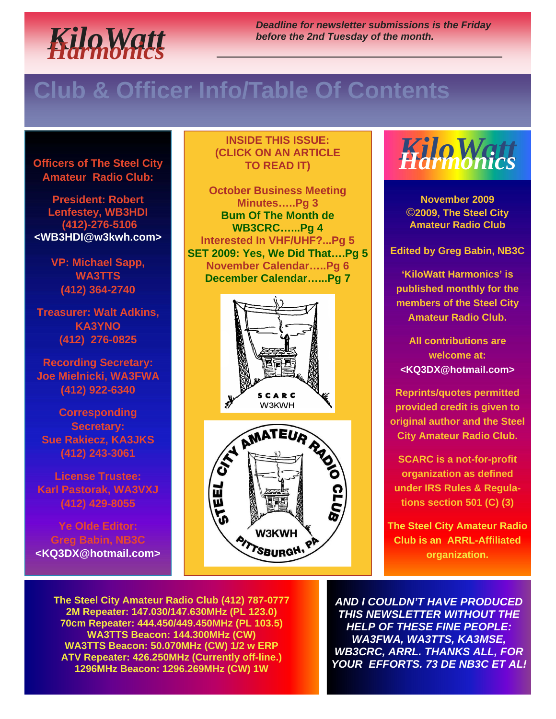<span id="page-1-0"></span>

*Deadline for newsletter submissions is the Friday before the 2nd Tuesday of the month.* 

### **Club & Officer Info/Table Of Contents**

**Officers of The Steel City Amateur Radio Club:** 

**President: Robert Lenfestey, WB3HDI (412)-276-5106 <WB3HDI@w3kwh.com>** 

> **VP: Michael Sapp, WA3TTS (412) 364-2740**

**Treasurer: Walt Adkins, KA3YNO (412) 276-0825** 

**Recording Secretary: Joe Mielnicki, WA3FWA (412) 922-6340** 

**Corresponding Secretary: Sue Rakiecz, KA3JKS (412) 243-3061** 

**License Trustee: Karl Pastorak, WA3VXJ (412) 429-8055** 

**Ye Olde Editor: Greg Babin, NB3C <KQ3DX@hotmail.com>**

#### **INSIDE THIS ISSUE: (CLICK ON AN ARTICLE TO READ IT)**

**[October Business Meeting](#page-2-0)  Minutes…..Pg 3 [Bum Of The Month de](#page-3-0) WB3CRC…...Pg 4 [Interested In VHF/UHF?...Pg 5](#page-4-0)  [SET 2009: Yes, We Did That….Pg 5](#page-4-0) [November Calendar…..Pg 6](#page-5-0)  [December Calendar…...Pg 7](#page-6-0)** 







**November 2009**  ©**2009, The Steel City Amateur Radio Club** 

**Edited by Greg Babin, NB3C** 

**'KiloWatt Harmonics' is published monthly for the members of the Steel City Amateur Radio Club.** 

**All contributions are welcome at: <KQ3DX@hotmail.com>** 

**Reprints/quotes permitted provided credit is given to original author and the Steel City Amateur Radio Club.** 

**SCARC is a not-for-profit organization as defined under IRS Rules & Regulations section 501 (C) (3)** 

**The Steel City Amateur Radio Club is an ARRL-Affiliated organization.** 

**The Steel City Amateur Radio Club (412) 787-0777 2M Repeater: 147.030/147.630MHz (PL 123.0) 70cm Repeater: 444.450/449.450MHz (PL 103.5) WA3TTS Beacon: 144.300MHz (CW) WA3TTS Beacon: 50.070MHz (CW) 1/2 w ERP ATV Repeater: 426.250MHz (Currently off-line.) 1296MHz Beacon: 1296.269MHz (CW) 1W**

*AND I COULDN'T HAVE PRODUCED THIS NEWSLETTER WITHOUT THE HELP OF THESE FINE PEOPLE: WA3FWA, WA3TTS, KA3MSE, WB3CRC, ARRL. THANKS ALL, FOR YOUR EFFORTS. 73 DE NB3C ET AL!*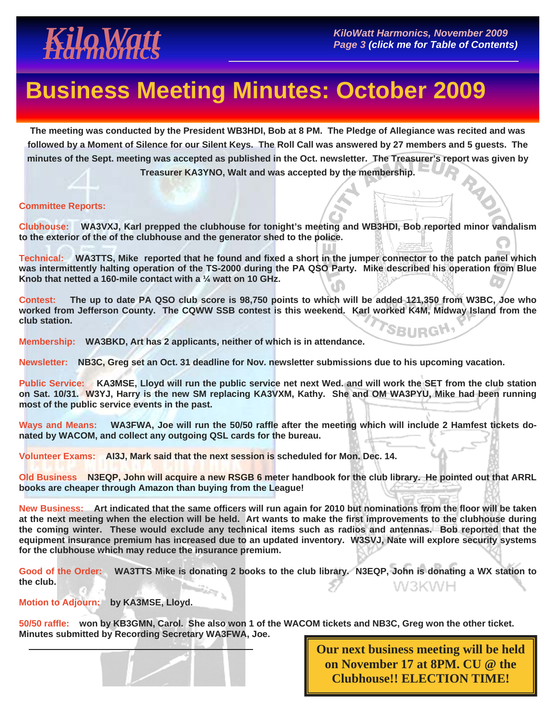<span id="page-2-0"></span>

### **Business Meeting Minutes: October 2009**

**The meeting was conducted by the President WB3HDI, Bob at 8 PM. The Pledge of Allegiance was recited and was followed by a Moment of Silence for our Silent Keys. The Roll Call was answered by 27 members and 5 guests. The minutes of the Sept. meeting was accepted as published in the Oct. newsletter. The Treasurer's report was given by Treasurer KA3YNO, Walt and was accepted by the membership.** 

#### **Committee Reports:**

**Clubhouse: WA3VXJ, Karl prepped the clubhouse for tonight's meeting and WB3HDI, Bob reported minor vandalism to the exterior of the of the clubhouse and the generator shed to the police.** 

**Technical: WA3TTS, Mike reported that he found and fixed a short in the jumper connector to the patch panel which was intermittently halting operation of the TS-2000 during the PA QSO Party. Mike described his operation from Blue Knob that netted a 160-mile contact with a ¼ watt on 10 GHz.** 

**Contest: The up to date PA QSO club score is 98,750 points to which will be added 121,350 from W3BC, Joe who worked from Jefferson County. The CQWW SSB contest is this weekend. Karl worked K4M, Midway Island from the club station.**  SBURGH<sup>,</sup>

**Membership: WA3BKD, Art has 2 applicants, neither of which is in attendance.** 

**Newsletter: NB3C, Greg set an Oct. 31 deadline for Nov. newsletter submissions due to his upcoming vacation.** 

**Public Service: KA3MSE, Lloyd will run the public service net next Wed. and will work the SET from the club station on Sat. 10/31. W3YJ, Harry is the new SM replacing KA3VXM, Kathy. She and OM WA3PYU, Mike had been running most of the public service events in the past.** 

**Ways and Means: WA3FWA, Joe will run the 50/50 raffle after the meeting which will include 2 Hamfest tickets donated by WACOM, and collect any outgoing QSL cards for the bureau.** 

**Volunteer Exams: AI3J, Mark said that the next session is scheduled for Mon. Dec. 14.** 

**Old Business N3EQP, John will acquire a new RSGB 6 meter handbook for the club library. He pointed out that ARRL books are cheaper through Amazon than buying from the League!** 

**New Business: Art indicated that the same officers will run again for 2010 but nominations from the floor will be taken at the next meeting when the election will be held. Art wants to make the first improvements to the clubhouse during the coming winter. These would exclude any technical items such as radios and antennas. Bob reported that the equipment insurance premium has increased due to an updated inventory. W3SVJ, Nate will explore security systems for the clubhouse which may reduce the insurance premium.** 

**Good of the Order: WA3TTS Mike is donating 2 books to the club library. N3EQP, John is donating a WX station to the club.**  W3KWH

**Motion to Adjourn: by KA3MSE, Lloyd.** 

**50/50 raffle: won by KB3GMN, Carol. She also won 1 of the WACOM tickets and NB3C, Greg won the other ticket. Minutes submitted by Recording Secretary WA3FWA, Joe.** 



**Our next business meeting will be held on November 17 at 8PM. CU @ the Clubhouse!! ELECTION TIME!**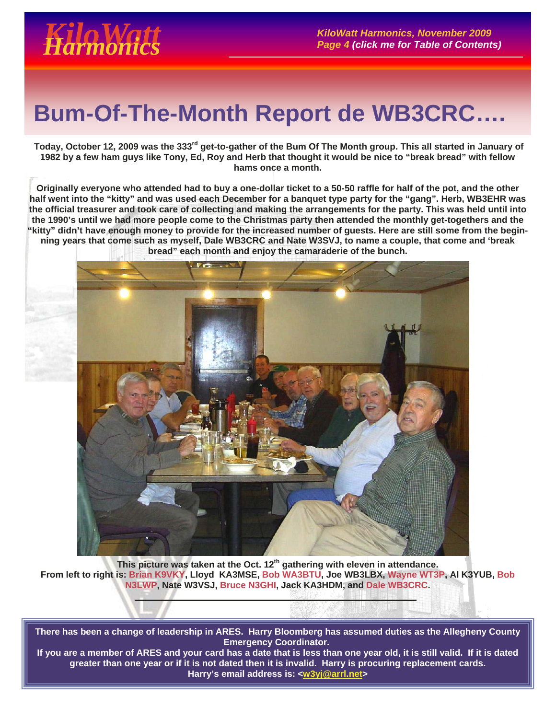## <span id="page-3-0"></span> **Bum-Of-The-Month Report de WB3CRC….**

**Today, October 12, 2009 was the 333rd get-to-gather of the Bum Of The Month group. This all started in January of 1982 by a few ham guys like Tony, Ed, Roy and Herb that thought it would be nice to "break bread" with fellow hams once a month.** 

**Originally everyone who attended had to buy a one-dollar ticket to a 50-50 raffle for half of the pot, and the other half went into the "kitty" and was used each December for a banquet type party for the "gang". Herb, WB3EHR was the official treasurer and took care of collecting and making the arrangements for the party. This was held until into the 1990's until we had more people come to the Christmas party then attended the monthly get-togethers and the "kitty" didn't have enough money to provide for the increased number of guests. Here are still some from the beginning years that come such as myself, Dale WB3CRC and Nate W3SVJ, to name a couple, that come and 'break bread" each month and enjoy the camaraderie of the bunch.** 



**This picture was taken at the Oct. 12th gathering with eleven in attendance. From left to right is: Brian K9VKY, Lloyd KA3MSE, Bob WA3BTU, Joe WB3LBX, Wayne WT3P, Al K3YUB, Bob N3LWP, Nate W3VSJ, Bruce N3GHI, Jack KA3HDM, and Dale WB3CRC.** 

**There has been a change of leadership in ARES. Harry Bloomberg has assumed duties as the Allegheny County Emergency Coordinator.** 

**If you are a member of ARES and your card has a date that is less than one year old, it is still valid. If it is dated greater than one year or if it is not dated then it is invalid. Harry is procuring replacement cards. Harry's email address is: <w3yj@arrl.net>**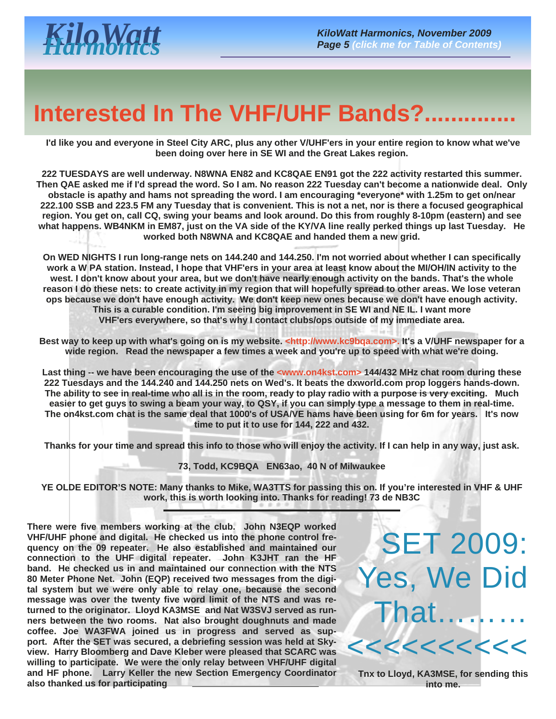## <span id="page-4-0"></span>**Interested In The VHF/UHF Bands?..**

 **I'd like you and everyone in Steel City ARC, plus any other V/UHF'ers in your entire region to know what we've been doing over here in SE WI and the Great Lakes region.** 

**222 TUESDAYS are well underway. N8WNA EN82 and KC8QAE EN91 got the 222 activity restarted this summer. Then QAE asked me if I'd spread the word. So I am. No reason 222 Tuesday can't become a nationwide deal. Only obstacle is apathy and hams not spreading the word. I am encouraging \*everyone\* with 1.25m to get on/near 222.100 SSB and 223.5 FM any Tuesday that is convenient. This is not a net, nor is there a focused geographical region. You get on, call CQ, swing your beams and look around. Do this from roughly 8-10pm (eastern) and see what happens. WB4NKM in EM87, just on the VA side of the KY/VA line really perked things up last Tuesday. He worked both N8WNA and KC8QAE and handed them a new grid.** 

**On WED NIGHTS I run long-range nets on 144.240 and 144.250. I'm not worried about whether I can specifically work a W PA station. Instead, I hope that VHF'ers in your area at least know about the MI/OH/IN activity to the west. I don't know about your area, but we don't have nearly enough activity on the bands. That's the whole reason I do these nets: to create activity in my region that will hopefully spread to other areas. We lose veteran ops because we don't have enough activity. We don't keep new ones because we don't have enough activity. This is a curable condition. I'm seeing big improvement in SE WI and NE IL. I want more VHF'ers everywhere, so that's why I contact clubs/ops outside of my immediate area.** 

Best way to keep up with what's going on is my website. <http://www.kc9bqa.com>. It's a V/UHF newspaper for a **wide region. Read the newspaper a few times a week and you're up to speed with what we're doing.** 

Last thing -- we have been encouraging the use of the <www.on4kst.com> 144/432 MHz chat room during these **222 Tuesdays and the 144.240 and 144.250 nets on Wed's. It beats the dxworld.com prop loggers hands-down. The ability to see in real-time who all is in the room, ready to play radio with a purpose is very exciting. Much easier to get guys to swing a beam your way, to QSY, if you can simply type a message to them in real-time. The on4kst.com chat is the same deal that 1000's of USA/VE hams have been using for 6m for years. It's now time to put it to use for 144, 222 and 432.** 

**Thanks for your time and spread this info to those who will enjoy the activity. If I can help in any way, just ask.** 

**73, Todd, KC9BQA EN63ao, 40 N of Milwaukee** 

**YE OLDE EDITOR'S NOTE: Many thanks to Mike, WA3TTS for passing this on. If you're interested in VHF & UHF work, this is worth looking into. Thanks for reading! 73 de NB3C** 

**There were five members working at the club. John N3EQP worked VHF/UHF phone and digital. He checked us into the phone control frequency on the 09 repeater. He also established and maintained our connection to the UHF digital repeater. John K3JHT ran the HF band. He checked us in and maintained our connection with the NTS 80 Meter Phone Net. John (EQP) received two messages from the digital system but we were only able to relay one, because the second message was over the twenty five word limit of the NTS and was returned to the originator. Lloyd KA3MSE and Nat W3SVJ served as runners between the two rooms. Nat also brought doughnuts and made coffee. Joe WA3FWA joined us in progress and served as support. After the SET was secured, a debriefing session was held at Skyview. Harry Bloomberg and Dave Kleber were pleased that SCARC was willing to participate. We were the only relay between VHF/UHF digital and HF phone. Larry Keller the new Section Emergency Coordinator also thanked us for participating**

SET 2009: Yes, We Did That………  $1 < < < < < < < < < <$ 

**Tnx to Lloyd, KA3MSE, for sending this into me.**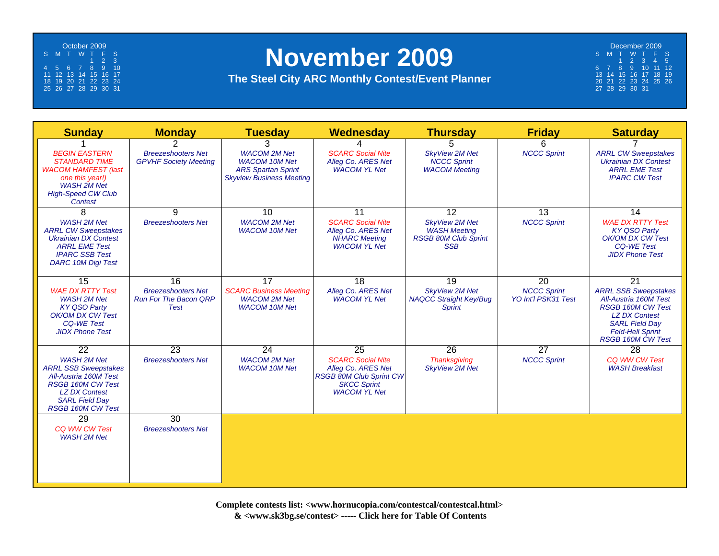<span id="page-5-0"></span>October 2009 S MT WT F S123 4 5 6 7 8 9 10 11 12 13 14 15 16 17 18 19 20 21 22 23 24 25 26 27 28 29 30 31

### **November 2009**

**The Steel City ARC Monthly Contest/Event Planner**

December 2009 S MT WT F S $5\overline{5}$ 12345 6 7 8 9 10 11 12 13 14 15 16 17 18 19 20 21 22 23 24 25 26 27 28 29 30 31

| <b>Sunday</b>                                                                                                                                                                       | <b>Monday</b>                                                            | <b>Tuesday</b>                                                                                              | <b>Wednesday</b>                                                                                                              | <b>Thursday</b>                                                                           | <b>Friday</b>                             | <b>Saturday</b>                                                                                                                                                                          |
|-------------------------------------------------------------------------------------------------------------------------------------------------------------------------------------|--------------------------------------------------------------------------|-------------------------------------------------------------------------------------------------------------|-------------------------------------------------------------------------------------------------------------------------------|-------------------------------------------------------------------------------------------|-------------------------------------------|------------------------------------------------------------------------------------------------------------------------------------------------------------------------------------------|
|                                                                                                                                                                                     | $\overline{2}$                                                           | 3                                                                                                           |                                                                                                                               | 5                                                                                         | 6                                         |                                                                                                                                                                                          |
| <b>BEGIN EASTERN</b><br><b>STANDARD TIME</b><br><b>WACOM HAMFEST (last</b><br>one this year!)<br><b>WASH 2M Net</b><br><b>High-Speed CW Club</b><br>Contest                         | <b>Breezeshooters Net</b><br><b>GPVHF Society Meeting</b>                | <b>WACOM 2M Net</b><br><b>WACOM 10M Net</b><br><b>ARS Spartan Sprint</b><br><b>Skyview Business Meeting</b> | <b>SCARC Social Nite</b><br>Alleg Co. ARES Net<br><b>WACOM YL Net</b>                                                         | <b>SkyView 2M Net</b><br><b>NCCC Sprint</b><br><b>WACOM Meeting</b>                       | <b>NCCC Sprint</b>                        | <b>ARRL CW Sweepstakes</b><br><b>Ukrainian DX Contest</b><br><b>ARRL EME Test</b><br><b>IPARC CW Test</b>                                                                                |
| 8                                                                                                                                                                                   | 9                                                                        | $\overline{10}$                                                                                             | 11                                                                                                                            | $\overline{12}$                                                                           | 13                                        | 14                                                                                                                                                                                       |
| <b>WASH 2M Net</b><br><b>ARRL CW Sweepstakes</b><br><b>Ukrainian DX Contest</b><br><b>ARRL EME Test</b><br><b>IPARC SSB Test</b><br><b>DARC 10M Digi Test</b>                       | <b>Breezeshooters Net</b>                                                | <b>WACOM 2M Net</b><br><b>WACOM 10M Net</b>                                                                 | <b>SCARC Social Nite</b><br>Alleg Co. ARES Net<br><b>NHARC Meeting</b><br><b>WACOM YL Net</b>                                 | <b>SkvView 2M Net</b><br><b>WASH Meeting</b><br><b>RSGB 80M Club Sprint</b><br><b>SSB</b> | <b>NCCC Sprint</b>                        | <b>WAE DX RTTY Test</b><br><b>KY QSO Party</b><br>OK/OM DX CW Test<br><b>CQ-WE Test</b><br><b>JIDX Phone Test</b>                                                                        |
| $\overline{15}$                                                                                                                                                                     | 16                                                                       | $\overline{17}$                                                                                             | $\overline{18}$                                                                                                               | $\overline{19}$                                                                           | $\overline{20}$                           | $\overline{21}$                                                                                                                                                                          |
| <b>WAE DX RTTY Test</b><br><b>WASH 2M Net</b><br><b>KY QSO Party</b><br>OK/OM DX CW Test<br><b>CQ-WE Test</b><br><b>JIDX Phone Test</b>                                             | <b>Breezeshooters Net</b><br><b>Run For The Bacon QRP</b><br><b>Test</b> | <b>SCARC Business Meeting</b><br><b>WACOM 2M Net</b><br><b>WACOM 10M Net</b>                                | Alleg Co. ARES Net<br><b>WACOM YL Net</b>                                                                                     | <b>SkyView 2M Net</b><br><b>NAQCC Straight Key/Bug</b><br><b>Sprint</b>                   | <b>NCCC Sprint</b><br>YO Int'l PSK31 Test | <b>ARRL SSB Sweepstakes</b><br>All-Austria 160M Test<br><b>RSGB 160M CW Test</b><br><b>LZ DX Contest</b><br><b>SARL Field Day</b><br><b>Feld-Hell Sprint</b><br><b>RSGB 160M CW Test</b> |
| 22                                                                                                                                                                                  | 23                                                                       | 24                                                                                                          | 25                                                                                                                            | 26                                                                                        | 27                                        | 28                                                                                                                                                                                       |
| <b>WASH 2M Net</b><br><b>ARRL SSB Sweepstakes</b><br>All-Austria 160M Test<br><b>RSGB 160M CW Test</b><br><b>LZ DX Contest</b><br><b>SARL Field Day</b><br><b>RSGB 160M CW Test</b> | <b>Breezeshooters Net</b>                                                | <b>WACOM 2M Net</b><br><b>WACOM 10M Net</b>                                                                 | <b>SCARC Social Nite</b><br>Alleg Co. ARES Net<br><b>RSGB 80M Club Sprint CW</b><br><b>SKCC Sprint</b><br><b>WACOM YL Net</b> | <b>Thanksgiving</b><br><b>SkyView 2M Net</b>                                              | <b>NCCC Sprint</b>                        | CO WW CW Test<br><b>WASH Breakfast</b>                                                                                                                                                   |
| 29                                                                                                                                                                                  | 30                                                                       |                                                                                                             |                                                                                                                               |                                                                                           |                                           |                                                                                                                                                                                          |
| CQ WW CW Test<br><b>WASH 2M Net</b>                                                                                                                                                 | <b>Breezeshooters Net</b>                                                |                                                                                                             |                                                                                                                               |                                                                                           |                                           |                                                                                                                                                                                          |

**Complete contests list: <www.hornucopia.com/contestcal/contestcal.html> & <www.sk3bg.se/contest> ----- [Click here for Table Of Contents](#page-1-0)**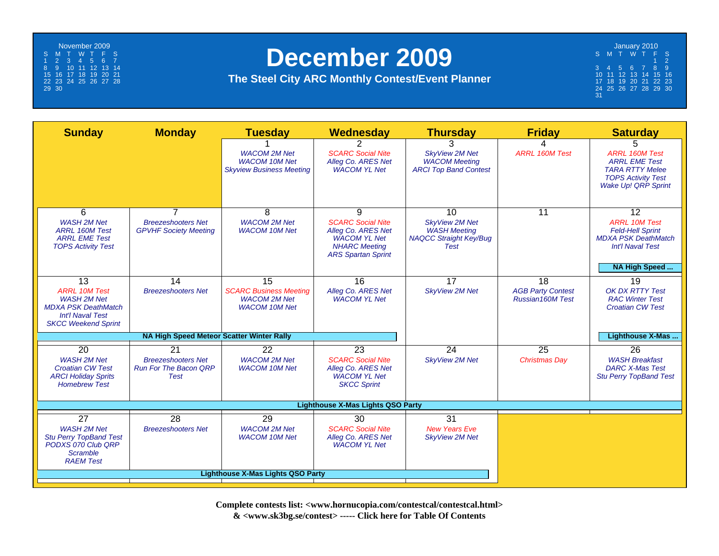<span id="page-6-0"></span>November 2009 S MT WT F S1234567 8 9 10 11 12 13 14 15 16 17 18 19 20 21 22 23 24 25 26 27 28 29 30

### **December 2009**

**The Steel City ARC Monthly Contest/Event Planner**

January 2010 S M T W T F S 1 23456789 10 11 12 13 14 15 16 17 18 19 20 21 22 23 24 25 26 27 28 29 30  $\frac{24}{31}$ 

| <b>Sunday</b>                                                                                                                                        | <b>Monday</b>                                                                        | <b>Tuesday</b>                                                                     | Wednesday                                                                                                                       | <b>Thursday</b>                                                                                    | <b>Friday</b>                                                          | <b>Saturday</b>                                                                                                                              |  |  |
|------------------------------------------------------------------------------------------------------------------------------------------------------|--------------------------------------------------------------------------------------|------------------------------------------------------------------------------------|---------------------------------------------------------------------------------------------------------------------------------|----------------------------------------------------------------------------------------------------|------------------------------------------------------------------------|----------------------------------------------------------------------------------------------------------------------------------------------|--|--|
|                                                                                                                                                      |                                                                                      | <b>WACOM 2M Net</b><br><b>WACOM 10M Net</b><br><b>Skyview Business Meeting</b>     | 2<br><b>SCARC Social Nite</b><br>Alleg Co. ARES Net<br><b>WACOM YL Net</b>                                                      | 3<br><b>SkvView 2M Net</b><br><b>WACOM Meeting</b><br><b>ARCI Top Band Contest</b>                 | 4<br><b>ARRL 160M Test</b>                                             | 5<br><b>ARRL 160M Test</b><br><b>ARRL EME Test</b><br><b>TARA RTTY Melee</b><br><b>TOPS Activity Test</b><br>Wake Up! QRP Sprint             |  |  |
| 6<br><b>WASH 2M Net</b><br><b>ARRL 160M Test</b><br><b>ARRL EME Test</b><br><b>TOPS Activity Test</b>                                                | $\overline{7}$<br><b>Breezeshooters Net</b><br><b>GPVHF Society Meeting</b>          | 8<br><b>WACOM 2M Net</b><br><b>WACOM 10M Net</b>                                   | 9<br><b>SCARC Social Nite</b><br>Alleg Co. ARES Net<br><b>WACOM YL Net</b><br><b>NHARC Meeting</b><br><b>ARS Spartan Sprint</b> | 10<br><b>SkyView 2M Net</b><br><b>WASH Meeting</b><br><b>NAQCC Straight Key/Bug</b><br><b>Test</b> | $\overline{11}$                                                        | $\overline{12}$<br><b>ARRL 10M Test</b><br><b>Feld-Hell Sprint</b><br><b>MDXA PSK DeathMatch</b><br><b>Int'l Naval Test</b><br>NA High Speed |  |  |
| $\overline{13}$<br><b>ARRL 10M Test</b><br><b>WASH 2M Net</b><br><b>MDXA PSK DeathMatch</b><br><b>Int'l Naval Test</b><br><b>SKCC Weekend Sprint</b> | 14<br><b>Breezeshooters Net</b>                                                      | 15<br><b>SCARC Business Meeting</b><br><b>WACOM 2M Net</b><br><b>WACOM 10M Net</b> | 16<br>Alleg Co. ARES Net<br><b>WACOM YL Net</b>                                                                                 | 17<br><b>SkyView 2M Net</b>                                                                        | $\overline{18}$<br><b>AGB Party Contest</b><br><b>Russian160M Test</b> | 19<br>OK DX RTTY Test<br><b>RAC Winter Test</b><br><b>Croatian CW Test</b>                                                                   |  |  |
|                                                                                                                                                      | NA High Speed Meteor Scatter Winter Rally                                            |                                                                                    |                                                                                                                                 |                                                                                                    | Lighthouse X-Mas                                                       |                                                                                                                                              |  |  |
| 20<br><b>WASH 2M Net</b><br><b>Croatian CW Test</b><br><b>ARCI Holiday Sprits</b><br><b>Homebrew Test</b>                                            | $\overline{21}$<br><b>Breezeshooters Net</b><br><b>Run For The Bacon QRP</b><br>Test | 22<br><b>WACOM 2M Net</b><br><b>WACOM 10M Net</b>                                  | $\overline{23}$<br><b>SCARC Social Nite</b><br>Alleg Co. ARES Net<br><b>WACOM YL Net</b><br><b>SKCC Sprint</b>                  | 24<br><b>SkyView 2M Net</b>                                                                        | $\overline{25}$<br><b>Christmas Day</b>                                | 26<br><b>WASH Breakfast</b><br><b>DARC X-Mas Test</b><br><b>Stu Perry TopBand Test</b>                                                       |  |  |
| <b>Lighthouse X-Mas Lights QSO Party</b>                                                                                                             |                                                                                      |                                                                                    |                                                                                                                                 |                                                                                                    |                                                                        |                                                                                                                                              |  |  |
| $\overline{27}$<br><b>WASH 2M Net</b><br><b>Stu Perry TopBand Test</b><br>PODXS 070 Club QRP<br>Scramble<br><b>RAEM Test</b>                         | 28<br><b>Breezeshooters Net</b>                                                      | 29<br><b>WACOM 2M Net</b><br><b>WACOM 10M Net</b>                                  | 30<br><b>SCARC Social Nite</b><br>Alleg Co. ARES Net<br><b>WACOM YL Net</b>                                                     | 31<br><b>New Years Eve</b><br><b>SkyView 2M Net</b>                                                |                                                                        |                                                                                                                                              |  |  |
|                                                                                                                                                      | <b>Lighthouse X-Mas Lights QSO Party</b>                                             |                                                                                    |                                                                                                                                 |                                                                                                    |                                                                        |                                                                                                                                              |  |  |

**Complete contests list: <www.hornucopia.com/contestcal/contestcal.html> & <www.sk3bg.se/contest> ----- [Click here for Table Of Contents](#page-1-0)**